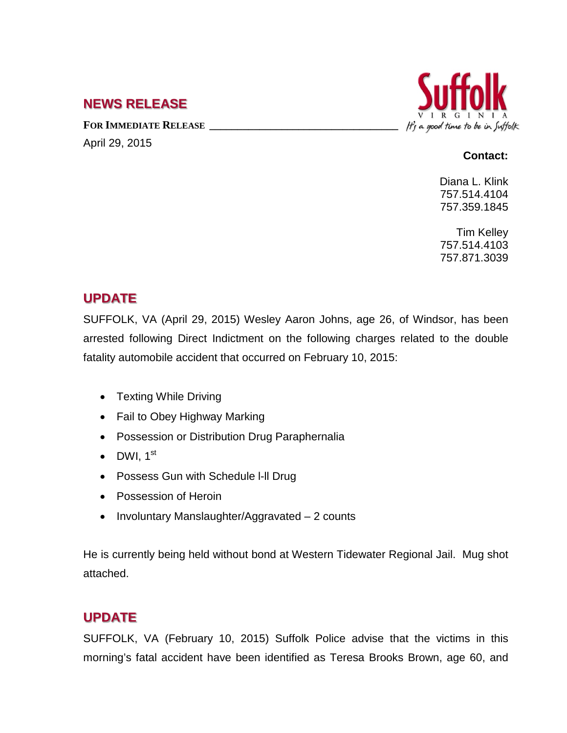## **NEWS RELEASE**

FOR **IMMEDIATE RELEASE** 

April 29, 2015

# It's a good time to be in Suffolk

#### **Contact:**

Diana L. Klink 757.514.4104 757.359.1845

Tim Kelley 757.514.4103 757.871.3039

## **UPDATE**

SUFFOLK, VA (April 29, 2015) Wesley Aaron Johns, age 26, of Windsor, has been arrested following Direct Indictment on the following charges related to the double fatality automobile accident that occurred on February 10, 2015:

- Texting While Driving
- Fail to Obey Highway Marking
- Possession or Distribution Drug Paraphernalia
- DWI,  $1^{\text{st}}$
- Possess Gun with Schedule I-II Drug
- Possession of Heroin
- Involuntary Manslaughter/Aggravated 2 counts

He is currently being held without bond at Western Tidewater Regional Jail. Mug shot attached.

# **UPDATE**

SUFFOLK, VA (February 10, 2015) Suffolk Police advise that the victims in this morning's fatal accident have been identified as Teresa Brooks Brown, age 60, and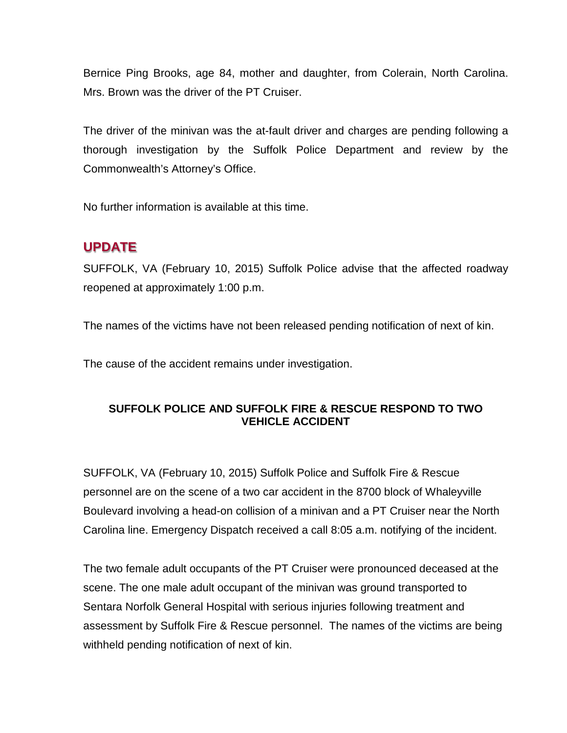Bernice Ping Brooks, age 84, mother and daughter, from Colerain, North Carolina. Mrs. Brown was the driver of the PT Cruiser.

The driver of the minivan was the at-fault driver and charges are pending following a thorough investigation by the Suffolk Police Department and review by the Commonwealth's Attorney's Office.

No further information is available at this time.

# **UPDATE**

SUFFOLK, VA (February 10, 2015) Suffolk Police advise that the affected roadway reopened at approximately 1:00 p.m.

The names of the victims have not been released pending notification of next of kin.

The cause of the accident remains under investigation.

#### **SUFFOLK POLICE AND SUFFOLK FIRE & RESCUE RESPOND TO TWO VEHICLE ACCIDENT**

SUFFOLK, VA (February 10, 2015) Suffolk Police and Suffolk Fire & Rescue personnel are on the scene of a two car accident in the 8700 block of Whaleyville Boulevard involving a head-on collision of a minivan and a PT Cruiser near the North Carolina line. Emergency Dispatch received a call 8:05 a.m. notifying of the incident.

The two female adult occupants of the PT Cruiser were pronounced deceased at the scene. The one male adult occupant of the minivan was ground transported to Sentara Norfolk General Hospital with serious injuries following treatment and assessment by Suffolk Fire & Rescue personnel. The names of the victims are being withheld pending notification of next of kin.